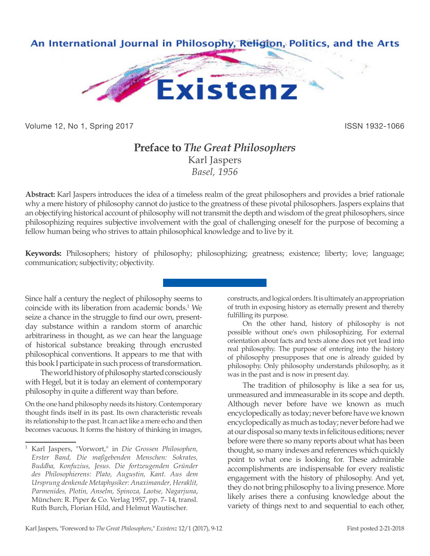

Volume 12, No 1, Spring 2017 **ISSN 1932-1066** ISSN 1932-1066

## **Preface to** *The Great Philosophers* Karl Jaspers *Basel, 1956*

**Abstract:** Karl Jaspers introduces the idea of a timeless realm of the great philosophers and provides a brief rationale why a mere history of philosophy cannot do justice to the greatness of these pivotal philosophers. Jaspers explains that an objectifying historical account of philosophy will not transmit the depth and wisdom of the great philosophers, since philosophizing requires subjective involvement with the goal of challenging oneself for the purpose of becoming a fellow human being who strives to attain philosophical knowledge and to live by it.

**Keywords:** Philosophers; history of philosophy; philosophizing; greatness; existence; liberty; love; language; communication; subjectivity; objectivity.

Since half a century the neglect of philosophy seems to coincide with its liberation from academic bonds.<sup>1</sup> We seize a chance in the struggle to find our own, presentday substance within a random storm of anarchic arbitrariness in thought, as we can hear the language of historical substance breaking through encrusted philosophical conventions. It appears to me that with this book I participate in such process of transformation.

The world history of philosophy started consciously with Hegel, but it is today an element of contemporary philosophy in quite a different way than before.

On the one hand philosophy needs its history. Contemporary thought finds itself in its past. Its own characteristic reveals its relationship to the past. It can act like a mere echo and then becomes vacuous. It forms the history of thinking in images,

constructs, and logical orders. It is ultimately an appropriation of truth in exposing history as eternally present and thereby fulfilling its purpose.

On the other hand, history of philosophy is not possible without one's own philosophizing. For external orientation about facts and texts alone does not yet lead into real philosophy. The purpose of entering into the history of philosophy presupposes that one is already guided by philosophy. Only philosophy understands philosophy, as it was in the past and is now in present day.

The tradition of philosophy is like a sea for us, unmeasured and immeasurable in its scope and depth. Although never before have we known as much encyclopedically as today; never before have we known encyclopedically as much as today; never before had we at our disposal so many texts in felicitous editions; never before were there so many reports about what has been thought, so many indexes and references which quickly point to what one is looking for. These admirable accomplishments are indispensable for every realistic engagement with the history of philosophy. And yet, they do not bring philosophy to a living presence. More likely arises there a confusing knowledge about the variety of things next to and sequential to each other,

<sup>1</sup> Karl Jaspers, "Vorwort," in *Die Grossen Philosophen, Erster Band, Die maßgebenden Menschen: Sokrates, Buddha, Konfuzius, Jesus. Die fortzeugenden Gründer des Philosophierens: Plato, Augustin, Kant. Aus dem Ursprung denkende Metaphysiker: Anaximander, Heraklit, Parmenides, Plotin, Anselm, Spinoza, Laotse, Nagarjuna*, München: R. Piper & Co. Verlag 1957, pp. 7- 14, transl. Ruth Burch, Florian Hild, and Helmut Wautischer.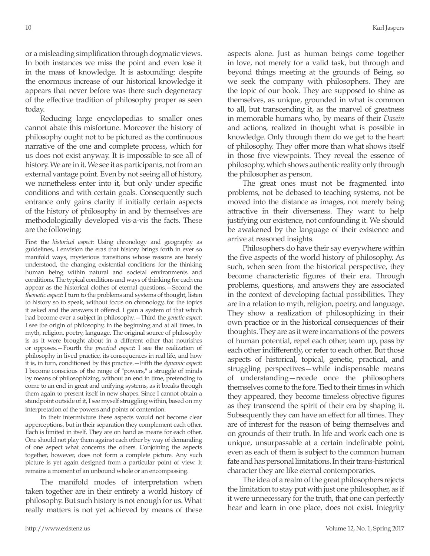or a misleading simplification through dogmatic views. In both instances we miss the point and even lose it in the mass of knowledge. It is astounding: despite the enormous increase of our historical knowledge it appears that never before was there such degeneracy of the effective tradition of philosophy proper as seen today.

Reducing large encyclopedias to smaller ones cannot abate this misfortune. Moreover the history of philosophy ought not to be pictured as the continuous narrative of the one and complete process, which for us does not exist anyway. It is impossible to see all of history. We are in it. We see it as participants, not from an external vantage point. Even by not seeing all of history, we nonetheless enter into it, but only under specific conditions and with certain goals. Consequently such entrance only gains clarity if initially certain aspects of the history of philosophy in and by themselves are methodologically developed vis-a-vis the facts. These are the following:

First the *historical aspect*: Using chronology and geography as guidelines, I envision the eras that history brings forth in ever so manifold ways, mysterious transitions whose reasons are barely understood, the changing existential conditions for the thinking human being within natural and societal environments and conditions. The typical conditions and ways of thinking for each era appear as the historical clothes of eternal questions.—Second the *thematic aspect*: I turn to the problems and systems of thought, listen to history so to speak, without focus on chronology, for the topics it asked and the answers it offered. I gain a system of that which had become ever a subject in philosophy.—Third the *genetic aspect*: I see the origin of philosophy, in the beginning and at all times, in myth, religion, poetry, language. The original source of philosophy is as it were brought about in a different other that nourishes or opposes.—Fourth the *practical aspect*: I see the realization of philosophy in lived practice, its consequences in real life, and how it is, in turn, conditioned by this practice.—Fifth the *dynamic aspect*: I become conscious of the range of "powers," a struggle of minds by means of philosophizing, without an end in time, pretending to come to an end in great and unifying systems, as it breaks through them again to present itself in new shapes. Since I cannot obtain a standpoint outside of it, I see myself struggling within, based on my interpretation of the powers and points of contention.

In their intermixture these aspects would not become clear apperceptions, but in their separation they complement each other. Each is limited in itself. They are on hand as means for each other. One should not play them against each other by way of demanding of one aspect what concerns the others. Conjoining the aspects together, however, does not form a complete picture. Any such picture is yet again designed from a particular point of view. It remains a moment of an unbound whole or an encompassing.

The manifold modes of interpretation when taken together are in their entirety a world history of philosophy. But such history is not enough for us. What really matters is not yet achieved by means of these

aspects alone. Just as human beings come together in love, not merely for a valid task, but through and beyond things meeting at the grounds of Being, so we seek the company with philosophers. They are the topic of our book. They are supposed to shine as themselves, as unique, grounded in what is common to all, but transcending it, as the marvel of greatness in memorable humans who, by means of their *Dasein*  and actions, realized in thought what is possible in knowledge. Only through them do we get to the heart of philosophy. They offer more than what shows itself in those five viewpoints. They reveal the essence of philosophy, which shows authentic reality only through the philosopher as person.

The great ones must not be fragmented into problems, not be debased to teaching systems, not be moved into the distance as images, not merely being attractive in their diverseness. They want to help justifying our existence, not confounding it. We should be awakened by the language of their existence and arrive at reasoned insights.

Philosophers do have their say everywhere within the five aspects of the world history of philosophy. As such, when seen from the historical perspective, they become characteristic figures of their era. Through problems, questions, and answers they are associated in the context of developing factual possibilities. They are in a relation to myth, religion, poetry, and language. They show a realization of philosophizing in their own practice or in the historical consequences of their thoughts. They are as it were incarnations of the powers of human potential, repel each other, team up, pass by each other indifferently, or refer to each other. But those aspects of historical, topical, genetic, practical, and struggling perspectives—while indispensable means of understanding—recede once the philosophers themselves come to the fore. Tied to their times in which they appeared, they become timeless objective figures as they transcend the spirit of their era by shaping it. Subsequently they can have an effect for all times. They are of interest for the reason of being themselves and on grounds of their truth. In life and work each one is unique, unsurpassable at a certain indefinable point, even as each of them is subject to the common human fate and has personal limitations. In their trans-historical character they are like eternal contemporaries.

The idea of a realm of the great philosophers rejects the limitation to stay put with just one philosopher, as if it were unnecessary for the truth, that one can perfectly hear and learn in one place, does not exist. Integrity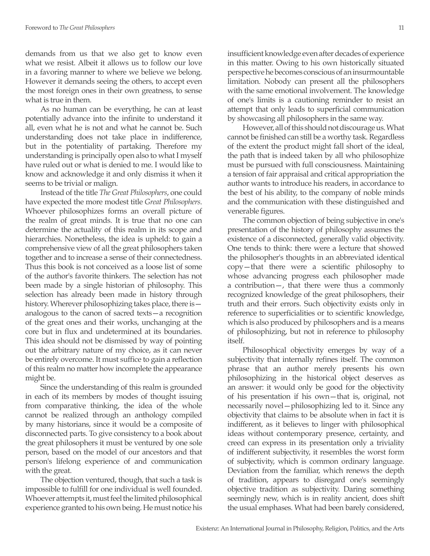demands from us that we also get to know even what we resist. Albeit it allows us to follow our love in a favoring manner to where we believe we belong. However it demands seeing the others, to accept even the most foreign ones in their own greatness, to sense what is true in them.

As no human can be everything, he can at least potentially advance into the infinite to understand it all, even what he is not and what he cannot be. Such understanding does not take place in indifference, but in the potentiality of partaking. Therefore my understanding is principally open also to what I myself have ruled out or what is denied to me. I would like to know and acknowledge it and only dismiss it when it seems to be trivial or malign.

Instead of the title *The Great Philosophers*, one could have expected the more modest title *Great Philosophers*. Whoever philosophizes forms an overall picture of the realm of great minds. It is true that no one can determine the actuality of this realm in its scope and hierarchies. Nonetheless, the idea is upheld: to gain a comprehensive view of all the great philosophers taken together and to increase a sense of their connectedness. Thus this book is not conceived as a loose list of some of the author's favorite thinkers. The selection has not been made by a single historian of philosophy. This selection has already been made in history through history. Wherever philosophizing takes place, there is analogous to the canon of sacred texts—a recognition of the great ones and their works, unchanging at the core but in flux and undetermined at its boundaries. This idea should not be dismissed by way of pointing out the arbitrary nature of my choice, as it can never be entirely overcome. It must suffice to gain a reflection of this realm no matter how incomplete the appearance might be.

Since the understanding of this realm is grounded in each of its members by modes of thought issuing from comparative thinking, the idea of the whole cannot be realized through an anthology compiled by many historians, since it would be a composite of disconnected parts. To give consistency to a book about the great philosophers it must be ventured by one sole person, based on the model of our ancestors and that person's lifelong experience of and communication with the great.

The objection ventured, though, that such a task is impossible to fulfill for one individual is well founded. Whoever attempts it, must feel the limited philosophical experience granted to his own being. He must notice his insufficient knowledge even after decades of experience in this matter. Owing to his own historically situated perspective he becomes conscious of an insurmountable limitation. Nobody can present all the philosophers with the same emotional involvement. The knowledge of one's limits is a cautioning reminder to resist an attempt that only leads to superficial communication by showcasing all philosophers in the same way.

However, all of this should not discourage us. What cannot be finished can still be a worthy task. Regardless of the extent the product might fall short of the ideal, the path that is indeed taken by all who philosophize must be pursued with full consciousness. Maintaining a tension of fair appraisal and critical appropriation the author wants to introduce his readers, in accordance to the best of his ability, to the company of noble minds and the communication with these distinguished and venerable figures.

The common objection of being subjective in one's presentation of the history of philosophy assumes the existence of a disconnected, generally valid objectivity. One tends to think: there were a lecture that showed the philosopher's thoughts in an abbreviated identical copy—that there were a scientific philosophy to whose advancing progress each philosopher made a contribution—, that there were thus a commonly recognized knowledge of the great philosophers, their truth and their errors. Such objectivity exists only in reference to superficialities or to scientific knowledge, which is also produced by philosophers and is a means of philosophizing, but not in reference to philosophy itself.

Philosophical objectivity emerges by way of a subjectivity that internally refines itself. The common phrase that an author merely presents his own philosophizing in the historical object deserves as an answer: it would only be good for the objectivity of his presentation if his own—that is, original, not necessarily novel—philosophizing led to it. Since any objectivity that claims to be absolute when in fact it is indifferent, as it believes to linger with philosophical ideas without contemporary presence, certainty, and creed can express in its presentation only a triviality of indifferent subjectivity, it resembles the worst form of subjectivity, which is common ordinary language. Deviation from the familiar, which renews the depth of tradition, appears to disregard one's seemingly objective tradition as subjectivity. Daring something seemingly new, which is in reality ancient, does shift the usual emphases. What had been barely considered,